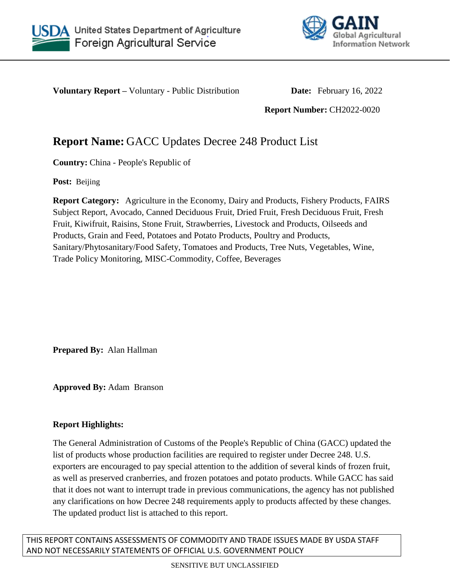



**Voluntary Report** – Voluntary - Public Distribution **Date:** February 16, 2022

**Report Number:** CH2022-0020

# **Report Name:** GACC Updates Decree 248 Product List

**Country:** China - People's Republic of

**Post:** Beijing

**Report Category:** Agriculture in the Economy, Dairy and Products, Fishery Products, FAIRS Subject Report, Avocado, Canned Deciduous Fruit, Dried Fruit, Fresh Deciduous Fruit, Fresh Fruit, Kiwifruit, Raisins, Stone Fruit, Strawberries, Livestock and Products, Oilseeds and Products, Grain and Feed, Potatoes and Potato Products, Poultry and Products, Sanitary/Phytosanitary/Food Safety, Tomatoes and Products, Tree Nuts, Vegetables, Wine, Trade Policy Monitoring, MISC-Commodity, Coffee, Beverages

**Prepared By:** Alan Hallman

**Approved By:** Adam Branson

# **Report Highlights:**

The General Administration of Customs of the People's Republic of China (GACC) updated the list of products whose production facilities are required to register under Decree 248. U.S. exporters are encouraged to pay special attention to the addition of several kinds of frozen fruit, as well as preserved cranberries, and frozen potatoes and potato products. While GACC has said that it does not want to interrupt trade in previous communications, the agency has not published any clarifications on how Decree 248 requirements apply to products affected by these changes. The updated product list is attached to this report.

THIS REPORT CONTAINS ASSESSMENTS OF COMMODITY AND TRADE ISSUES MADE BY USDA STAFF AND NOT NECESSARILY STATEMENTS OF OFFICIAL U.S. GOVERNMENT POLICY

SENSITIVE BUT UNCLASSIFIED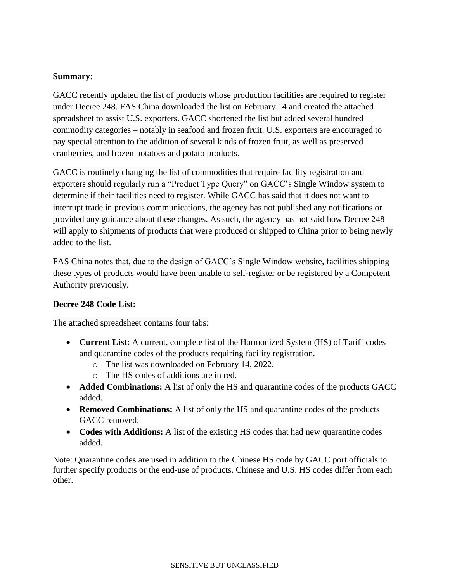### **Summary:**

GACC recently updated the list of products whose production facilities are required to register under Decree 248. FAS China downloaded the list on February 14 and created the attached spreadsheet to assist U.S. exporters. GACC shortened the list but added several hundred commodity categories – notably in seafood and frozen fruit. U.S. exporters are encouraged to pay special attention to the addition of several kinds of frozen fruit, as well as preserved cranberries, and frozen potatoes and potato products.

GACC is routinely changing the list of commodities that require facility registration and exporters should regularly run a "Product Type Query" on GACC's Single Window system to determine if their facilities need to register. While GACC has said that it does not want to interrupt trade in previous communications, the agency has not published any notifications or provided any guidance about these changes. As such, the agency has not said how Decree 248 will apply to shipments of products that were produced or shipped to China prior to being newly added to the list.

FAS China notes that, due to the design of GACC's Single Window website, facilities shipping these types of products would have been unable to self-register or be registered by a Competent Authority previously.

#### **Decree 248 Code List:**

The attached spreadsheet contains four tabs:

- **Current List:** A current, complete list of the Harmonized System (HS) of Tariff codes and quarantine codes of the products requiring facility registration.
	- o The list was downloaded on February 14, 2022.
	- o The HS codes of additions are in red.
- **Added Combinations:** A list of only the HS and quarantine codes of the products GACC added.
- **Removed Combinations:** A list of only the HS and quarantine codes of the products GACC removed.
- **Codes with Additions:** A list of the existing HS codes that had new quarantine codes added.

Note: Quarantine codes are used in addition to the Chinese HS code by GACC port officials to further specify products or the end-use of products. Chinese and U.S. HS codes differ from each other.